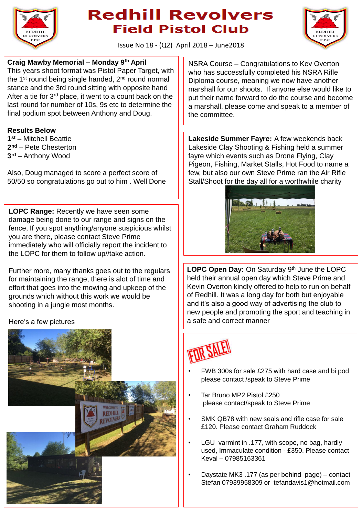

## **Redhill Revolvers Field Pistol Club**



Issue No 18 - (Q2) April 2018 – June2018

#### **Craig Mawby Memorial – Monday 9th April**

This years shoot format was Pistol Paper Target, with the 1<sup>st</sup> round being single handed, 2<sup>nd</sup> round normal stance and the 3rd round sitting with opposite hand After a tie for 3<sup>rd</sup> place, it went to a count back on the last round for number of 10s, 9s etc to determine the final podium spot between Anthony and Doug.

#### **Results Below**

**1 st –** Mitchell Beattie **2 nd** – Pete Chesterton **3 rd** – Anthony Wood

Also, Doug managed to score a perfect score of 50/50 so congratulations go out to him . Well Done

**LOPC Range:** Recently we have seen some damage being done to our range and signs on the fence, If you spot anything/anyone suspicious whilst you are there, please contact Steve Prime immediately who will officially report the incident to the LOPC for them to follow up//take action.

Further more, many thanks goes out to the regulars for maintaining the range, there is alot of time and effort that goes into the mowing and upkeep of the grounds which without this work we would be shooting in a jungle most months.

#### Here's a few pictures



NSRA Course – Congratulations to Kev Overton who has successfully completed his NSRA Rifle Diploma course, meaning we now have another marshall for our shoots. If anyone else would like to put their name forward to do the course and become a marshall, please come and speak to a member of the committee.

**Lakeside Summer Fayre:** A few weekends back Lakeside Clay Shooting & Fishing held a summer fayre which events such as Drone Flying, Clay Pigeon, Fishing, Market Stalls, Hot Food to name a few, but also our own Steve Prime ran the Air Rifle Stall/Shoot for the day all for a worthwhile charity



LOPC Open Day: On Saturday 9<sup>th</sup> June the LOPC held their annual open day which Steve Prime and Kevin Overton kindly offered to help to run on behalf of Redhill. It was a long day for both but enjoyable and it's also a good way of advertising the club to new people and promoting the sport and teaching in a safe and correct manner



- FWB 300s for sale £275 with hard case and bi pod please contact /speak to Steve Prime
- Tar Bruno MP2 Pistol £250 please contact/speak to Steve Prime
- SMK QB78 with new seals and rifle case for sale £120. Please contact Graham Ruddock
- LGU varmint in .177, with scope, no bag, hardly used, Immaculate condition - £350. Please contact Keval – 07985163361
- Daystate MK3 .177 (as per behind page) contact Stefan 07939958309 or tefandavis1@hotmail.com